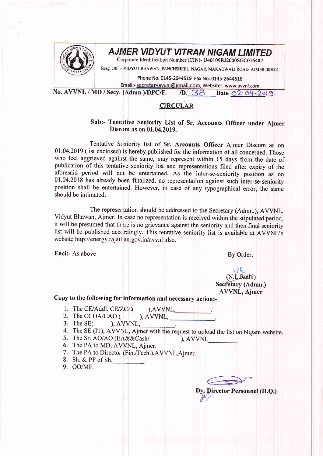

## AJMER VIDYUT VITRAN NIGAM LIMITED

Corporate Identification Number (CIN)- U40109RJ2000SGC016482

Resg. Off. :- VIDYUT BHAWAN, PANCHSHEEL NAGAR, MAKADWALI ROAD, AJMER-305004

Phone No. 0145-2644519 Fax No. 0145-2644518

Email:- secretaryavvnl@gmail.com, Website:- www.avvnl.com

No. AVVNL / MD / Secy. (Admn.)/DPC/F.  $\sqrt{D}$ .  $38$  Date  $02$   $04 - 2019$ 

## **CIRCULAR**

## Sub:- Tentative Seniority List of Sr. Accounts Officer under Ajmer Discom as on  $01.04.2019$ .

Tentative Seniority list of Sr. Accounts Officer Ajmer Discom as on 01.04.2019 (list enclosed) is hereby published for the information of all concerned. Those who feel aggrieved against the same, may represent within 15 days from the date of publication of this tentative seniority list and representations filed after expiry of the aforesaid period will not be entertained. As the inter-se-seniority position as on 01.04.2018 has already been finalized, no representation against such inter-se-seniority position shall be entertained. However, in case of any typographical error, the same should be intimated.

The representation should be addressed to the Secretary (Adrnn.), AVVNL, Vidyut Bhawan, Ajmer. In case no representation is received within the stipulated period, it will be presumed that there is no grievance against the seniority and then final seniority list will be published accordingly. This tentative seniority list is available at AVVNL's web site http://energy.rajathan.gov.in/avvnl also.

Encl:- As above By Order,

 $\mathcal{Q}$ (N.L.Rathi) Secretary (Admn.) AVVNL, Ajmer

## Copy to the following for information and necessary action:-

- 1. The CE/Addl. CE/Z/CE( ),AVVNL,
- 2. The CCOA/CAO  $($ <br>3. The SE $($ ), AVVN  $AVVNL$ ,
- $A$  Sec.  $A$
- The SE (IT), AVVNL, Ajmer with the request to upload the list on Nigam website.
- 5. The Sr. AO/AO (EA&&Cash/  $\lambda$ , AVVNL
- 6. The PA to MD, AVVNL, Ajmer.
- 7. The PA to Director (Fin./Tech.), A VVNL, Ajmer.
- 8. Sh. & PF of Sh.
- 9. OO/MF.

 $\Longleftrightarrow$ 

Dy, Director Personnel (H.Q.)